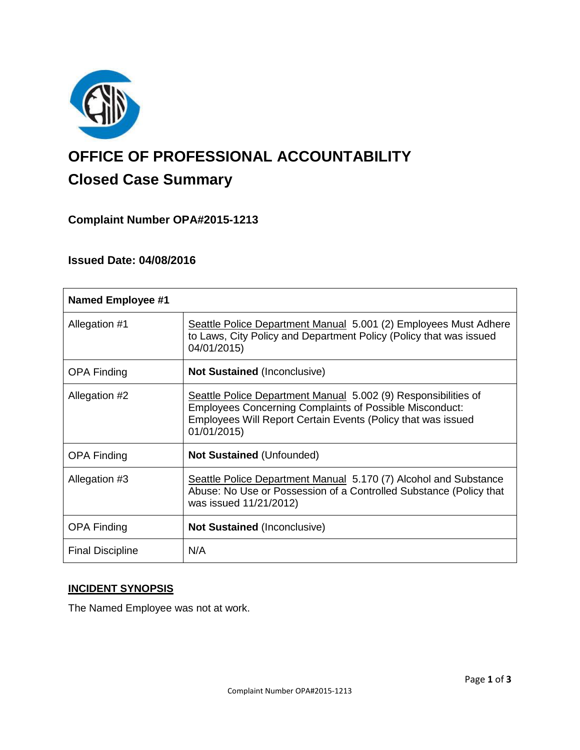

# **OFFICE OF PROFESSIONAL ACCOUNTABILITY Closed Case Summary**

# **Complaint Number OPA#2015-1213**

#### **Issued Date: 04/08/2016**

| <b>Named Employee #1</b> |                                                                                                                                                                                                                 |
|--------------------------|-----------------------------------------------------------------------------------------------------------------------------------------------------------------------------------------------------------------|
| Allegation #1            | Seattle Police Department Manual 5.001 (2) Employees Must Adhere<br>to Laws, City Policy and Department Policy (Policy that was issued<br>04/01/2015)                                                           |
| <b>OPA Finding</b>       | <b>Not Sustained (Inconclusive)</b>                                                                                                                                                                             |
| Allegation #2            | Seattle Police Department Manual 5.002 (9) Responsibilities of<br><b>Employees Concerning Complaints of Possible Misconduct:</b><br>Employees Will Report Certain Events (Policy that was issued<br>01/01/2015) |
| <b>OPA Finding</b>       | <b>Not Sustained (Unfounded)</b>                                                                                                                                                                                |
| Allegation #3            | Seattle Police Department Manual 5.170 (7) Alcohol and Substance<br>Abuse: No Use or Possession of a Controlled Substance (Policy that<br>was issued 11/21/2012)                                                |
| <b>OPA Finding</b>       | <b>Not Sustained (Inconclusive)</b>                                                                                                                                                                             |
| <b>Final Discipline</b>  | N/A                                                                                                                                                                                                             |

## **INCIDENT SYNOPSIS**

The Named Employee was not at work.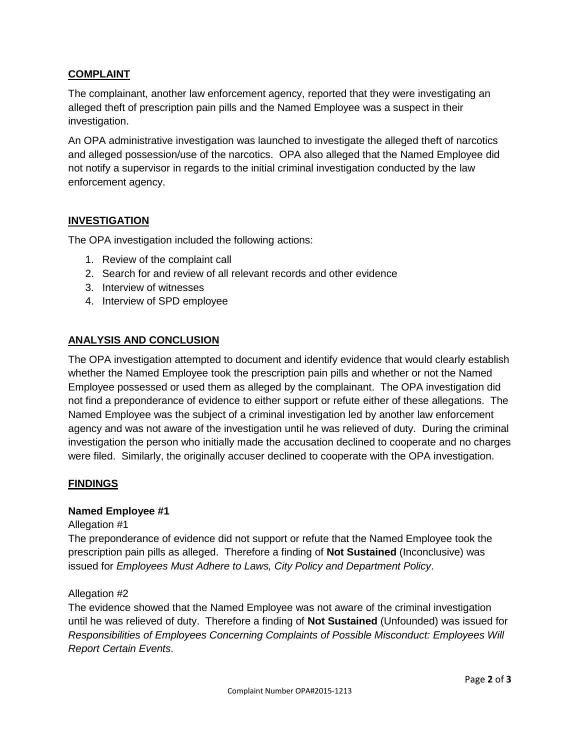## **COMPLAINT**

The complainant, another law enforcement agency, reported that they were investigating an alleged theft of prescription pain pills and the Named Employee was a suspect in their investigation.

An OPA administrative investigation was launched to investigate the alleged theft of narcotics and alleged possession/use of the narcotics. OPA also alleged that the Named Employee did not notify a supervisor in regards to the initial criminal investigation conducted by the law enforcement agency.

#### **INVESTIGATION**

The OPA investigation included the following actions:

- 1. Review of the complaint call
- 2. Search for and review of all relevant records and other evidence
- 3. Interview of witnesses
- 4. Interview of SPD employee

# **ANALYSIS AND CONCLUSION**

The OPA investigation attempted to document and identify evidence that would clearly establish whether the Named Employee took the prescription pain pills and whether or not the Named Employee possessed or used them as alleged by the complainant. The OPA investigation did not find a preponderance of evidence to either support or refute either of these allegations. The Named Employee was the subject of a criminal investigation led by another law enforcement agency and was not aware of the investigation until he was relieved of duty. During the criminal investigation the person who initially made the accusation declined to cooperate and no charges were filed. Similarly, the originally accuser declined to cooperate with the OPA investigation.

#### **FINDINGS**

#### **Named Employee #1**

Allegation #1

The preponderance of evidence did not support or refute that the Named Employee took the prescription pain pills as alleged. Therefore a finding of **Not Sustained** (Inconclusive) was issued for *Employees Must Adhere to Laws, City Policy and Department Policy*.

#### Allegation #2

The evidence showed that the Named Employee was not aware of the criminal investigation until he was relieved of duty. Therefore a finding of **Not Sustained** (Unfounded) was issued for *Responsibilities of Employees Concerning Complaints of Possible Misconduct: Employees Will Report Certain Events*.